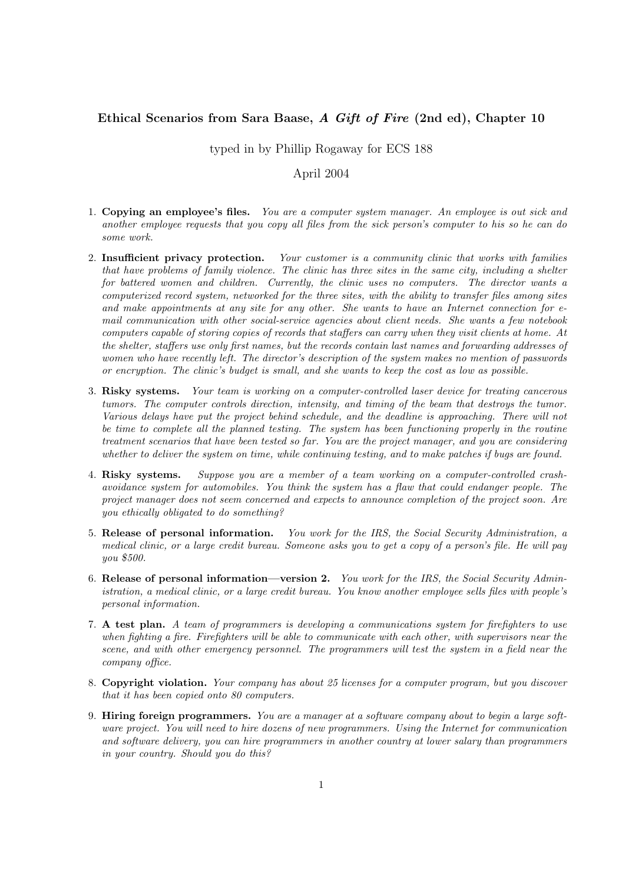## Ethical Scenarios from Sara Baase, A Gift of Fire (2nd ed), Chapter 10

typed in by Phillip Rogaway for ECS 188

## April 2004

- 1. Copying an employee's files. You are a computer system manager. An employee is out sick and another employee requests that you copy all files from the sick person's computer to his so he can do some work.
- 2. Insufficient privacy protection. Your customer is a community clinic that works with families that have problems of family violence. The clinic has three sites in the same city, including a shelter for battered women and children. Currently, the clinic uses no computers. The director wants a computerized record system, networked for the three sites, with the ability to transfer files among sites and make appointments at any site for any other. She wants to have an Internet connection for email communication with other social-service agencies about client needs. She wants a few notebook computers capable of storing copies of records that staffers can carry when they visit clients at home. At the shelter, staffers use only first names, but the records contain last names and forwarding addresses of women who have recently left. The director's description of the system makes no mention of passwords or encryption. The clinic's budget is small, and she wants to keep the cost as low as possible.
- 3. Risky systems. Your team is working on a computer-controlled laser device for treating cancerous tumors. The computer controls direction, intensity, and timing of the beam that destroys the tumor. Various delays have put the project behind schedule, and the deadline is approaching. There will not be time to complete all the planned testing. The system has been functioning properly in the routine treatment scenarios that have been tested so far. You are the project manager, and you are considering whether to deliver the system on time, while continuing testing, and to make patches if bugs are found.
- 4. Risky systems. Suppose you are a member of a team working on a computer-controlled crashavoidance system for automobiles. You think the system has a flaw that could endanger people. The project manager does not seem concerned and expects to announce completion of the project soon. Are you ethically obligated to do something?
- 5. Release of personal information. You work for the IRS, the Social Security Administration, a medical clinic, or a large credit bureau. Someone asks you to get a copy of a person's file. He will pay you \$500.
- 6. Release of personal information—version 2. You work for the IRS, the Social Security Administration, a medical clinic, or a large credit bureau. You know another employee sells files with people's personal information.
- 7. A test plan. A team of programmers is developing a communications system for firefighters to use when fighting a fire. Firefighters will be able to communicate with each other, with supervisors near the scene, and with other emergency personnel. The programmers will test the system in a field near the company office.
- 8. Copyright violation. Your company has about 25 licenses for a computer program, but you discover that it has been copied onto 80 computers.
- 9. Hiring foreign programmers. You are a manager at a software company about to begin a large software project. You will need to hire dozens of new programmers. Using the Internet for communication and software delivery, you can hire programmers in another country at lower salary than programmers in your country. Should you do this?